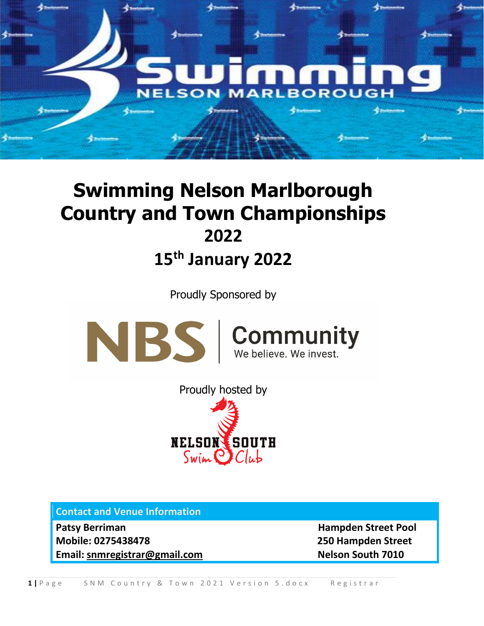

## **Swimming Nelson Marlborough Country and Town Championships 2022 15th January 2022**

Proudly Sponsored by



Proudly hosted by **NELSON SOUTH**  $Swin$   $Club$ 

**Contact and Venue Information** 

**Patsy Berriman discretion of the Contract Pool in the Hampden Street Pool Mobile: 0275438478 250 Hampden Street Email: [snmregistrar@gmail.com](mailto:snmregistrar@gmail.com) Nelson South 7010**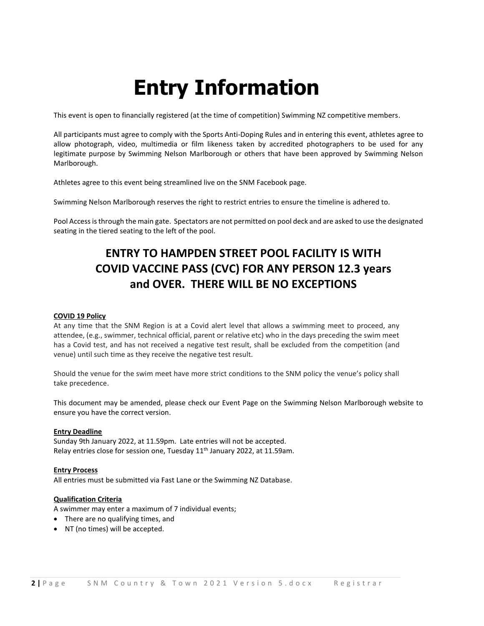# **Entry Information**

This event is open to financially registered (at the time of competition) Swimming NZ competitive members.

All participants must agree to comply with the Sports Anti-Doping Rules and in entering this event, athletes agree to allow photograph, video, multimedia or film likeness taken by accredited photographers to be used for any legitimate purpose by Swimming Nelson Marlborough or others that have been approved by Swimming Nelson Marlborough.

Athletes agree to this event being streamlined live on the SNM Facebook page.

Swimming Nelson Marlborough reserves the right to restrict entries to ensure the timeline is adhered to.

Pool Access is through the main gate. Spectators are not permitted on pool deck and are asked to use the designated seating in the tiered seating to the left of the pool.

### **ENTRY TO HAMPDEN STREET POOL FACILITY IS WITH COVID VACCINE PASS (CVC) FOR ANY PERSON 12.3 years and OVER. THERE WILL BE NO EXCEPTIONS**

#### **COVID 19 Policy**

At any time that the SNM Region is at a Covid alert level that allows a swimming meet to proceed, any attendee, (e.g., swimmer, technical official, parent or relative etc) who in the days preceding the swim meet has a Covid test, and has not received a negative test result, shall be excluded from the competition (and venue) until such time as they receive the negative test result.

Should the venue for the swim meet have more strict conditions to the SNM policy the venue's policy shall take precedence.

This document may be amended, please check our Event Page on the Swimming Nelson Marlborough website to ensure you have the correct version.

#### **Entry Deadline**

Sunday 9th January 2022, at 11.59pm. Late entries will not be accepted. Relay entries close for session one, Tuesday 11<sup>th</sup> January 2022, at 11.59am.

#### **Entry Process**

All entries must be submitted via Fast Lane or the Swimming NZ Database.

#### **Qualification Criteria**

A swimmer may enter a maximum of 7 individual events;

- There are no qualifying times, and
- NT (no times) will be accepted.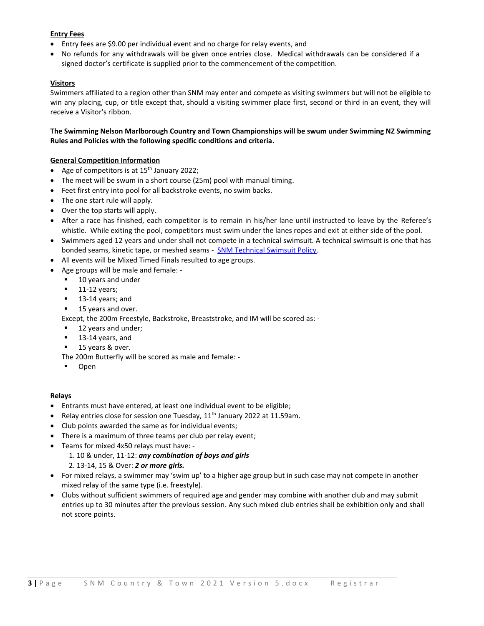#### **Entry Fees**

- Entry fees are \$9.00 per individual event and no charge for relay events, and
- No refunds for any withdrawals will be given once entries close. Medical withdrawals can be considered if a signed doctor's certificate is supplied prior to the commencement of the competition.

#### **Visitors**

Swimmers affiliated to a region other than SNM may enter and compete as visiting swimmers but will not be eligible to win any placing, cup, or title except that, should a visiting swimmer place first, second or third in an event, they will receive a Visitor's ribbon.

#### **The Swimming Nelson Marlborough Country and Town Championships will be swum under Swimming NZ Swimming Rules and Policies with the following specific conditions and criteria.**

#### **General Competition Information**

- Age of competitors is at  $15<sup>th</sup>$  January 2022;
- The meet will be swum in a short course (25m) pool with manual timing.
- Feet first entry into pool for all backstroke events, no swim backs.
- The one start rule will apply.
- Over the top starts will apply.
- After a race has finished, each competitor is to remain in his/her lane until instructed to leave by the Referee's whistle. While exiting the pool, competitors must swim under the lanes ropes and exit at either side of the pool.
- Swimmers aged 12 years and under shall not compete in a technical swimsuit. A technical swimsuit is one that has bonded seams, kinetic tape, or meshed seams - [SNM Technical Swimsuit Policy.](https://www.snm.org.nz/files/SNM_Tech_Suit_Policy-Nov2018.pdf)
- All events will be Mixed Timed Finals resulted to age groups.
- Age groups will be male and female:
	- 10 years and under
	- $\blacksquare$  11-12 years;
	- 13-14 years; and
	- 15 years and over.

Except, the 200m Freestyle, Backstroke, Breaststroke, and IM will be scored as: -

- 12 years and under;
- 13-14 years, and
- 15 years & over.

The 200m Butterfly will be scored as male and female: -

▪ Open

#### **Relays**

- Entrants must have entered, at least one individual event to be eligible;
- Relay entries close for session one Tuesday, 11<sup>th</sup> January 2022 at 11.59am.
- Club points awarded the same as for individual events;
- There is a maximum of three teams per club per relay event;
- Teams for mixed 4x50 relays must have:
	- 1. 10 & under, 11-12: *any combination of boys and girls*
	- 2. 13-14, 15 & Over: *2 or more girls.*
- For mixed relays, a swimmer may 'swim up' to a higher age group but in such case may not compete in another mixed relay of the same type (i.e. freestyle).
- Clubs without sufficient swimmers of required age and gender may combine with another club and may submit entries up to 30 minutes after the previous session. Any such mixed club entries shall be exhibition only and shall not score points.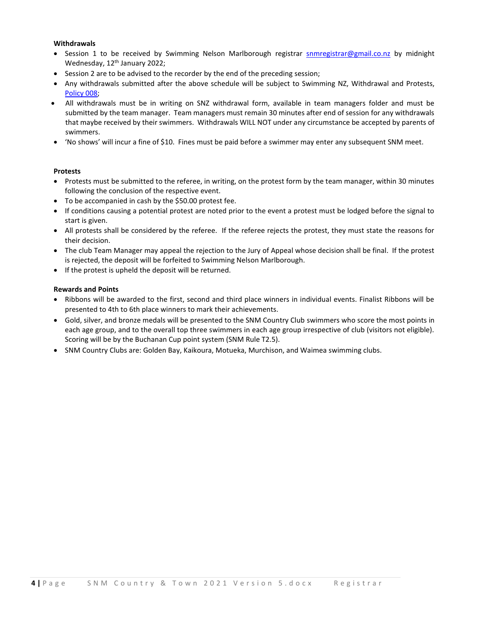#### **Withdrawals**

- Session 1 to be received by Swimming Nelson Marlborough registrar [snmregistrar@gmail.co.nz](mailto:snmregistrar@gmail.co.nz) by midnight Wednesday, 12<sup>th</sup> January 2022;
- Session 2 are to be advised to the recorder by the end of the preceding session;
- Any withdrawals submitted after the above schedule will be subject to Swimming NZ, Withdrawal and Protests, [Policy 008;](https://www.swimming.org.nz/visageimages/Legal%20&%20Governance/Policies/Competition%20and%20Event%20Policies/2019_SNZPolicy_WithdrawsProtests_008.pdf)
- All withdrawals must be in writing on SNZ withdrawal form, available in team managers folder and must be submitted by the team manager. Team managers must remain 30 minutes after end of session for any withdrawals that maybe received by their swimmers. Withdrawals WILL NOT under any circumstance be accepted by parents of swimmers.
- 'No shows' will incur a fine of \$10. Fines must be paid before a swimmer may enter any subsequent SNM meet.

#### **Protests**

- Protests must be submitted to the referee, in writing, on the protest form by the team manager, within 30 minutes following the conclusion of the respective event.
- To be accompanied in cash by the \$50.00 protest fee.
- If conditions causing a potential protest are noted prior to the event a protest must be lodged before the signal to start is given.
- All protests shall be considered by the referee. If the referee rejects the protest, they must state the reasons for their decision.
- The club Team Manager may appeal the rejection to the Jury of Appeal whose decision shall be final. If the protest is rejected, the deposit will be forfeited to Swimming Nelson Marlborough.
- If the protest is upheld the deposit will be returned.

#### **Rewards and Points**

- Ribbons will be awarded to the first, second and third place winners in individual events. Finalist Ribbons will be presented to 4th to 6th place winners to mark their achievements.
- Gold, silver, and bronze medals will be presented to the SNM Country Club swimmers who score the most points in each age group, and to the overall top three swimmers in each age group irrespective of club (visitors not eligible). Scoring will be by the Buchanan Cup point system (SNM Rule T2.5).
- SNM Country Clubs are: Golden Bay, Kaikoura, Motueka, Murchison, and Waimea swimming clubs.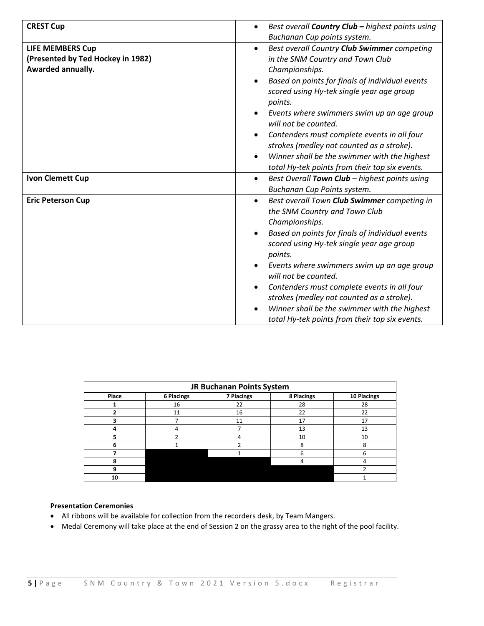| <b>CREST Cup</b>                                                                  | Best overall Country Club - highest points using<br>$\bullet$<br>Buchanan Cup points system.                                                                                                                                                                                                                                                                                                                                                                                                                            |
|-----------------------------------------------------------------------------------|-------------------------------------------------------------------------------------------------------------------------------------------------------------------------------------------------------------------------------------------------------------------------------------------------------------------------------------------------------------------------------------------------------------------------------------------------------------------------------------------------------------------------|
| <b>LIFE MEMBERS Cup</b><br>(Presented by Ted Hockey in 1982)<br>Awarded annually. | Best overall Country Club Swimmer competing<br>$\bullet$<br>in the SNM Country and Town Club<br>Championships.<br>Based on points for finals of individual events<br>$\bullet$<br>scored using Hy-tek single year age group<br>points.<br>Events where swimmers swim up an age group<br>will not be counted.<br>Contenders must complete events in all four<br>strokes (medley not counted as a stroke).<br>Winner shall be the swimmer with the highest<br>$\bullet$<br>total Hy-tek points from their top six events. |
| <b>Ivon Clemett Cup</b>                                                           | Best Overall Town Club - highest points using<br>$\bullet$<br>Buchanan Cup Points system.                                                                                                                                                                                                                                                                                                                                                                                                                               |
| <b>Eric Peterson Cup</b>                                                          | Best overall Town Club Swimmer competing in<br>$\bullet$<br>the SNM Country and Town Club<br>Championships.<br>Based on points for finals of individual events<br>$\bullet$<br>scored using Hy-tek single year age group<br>points.<br>Events where swimmers swim up an age group<br>will not be counted.<br>Contenders must complete events in all four<br>$\bullet$<br>strokes (medley not counted as a stroke).<br>Winner shall be the swimmer with the highest<br>total Hy-tek points from their top six events.    |

| JR Buchanan Points System |            |                   |            |             |
|---------------------------|------------|-------------------|------------|-------------|
| Place                     | 6 Placings | <b>7 Placings</b> | 8 Placings | 10 Placings |
|                           | 16         | 22                | 28         | 28          |
|                           | 11         | 16                | 22         | 22          |
|                           |            | 11                | 17         | 17          |
|                           | 4          |                   | 13         | 13          |
|                           |            |                   | 10         | 10          |
|                           |            |                   | 8          | ጸ           |
|                           |            |                   | 6          | n           |
|                           |            |                   |            |             |
|                           |            |                   |            |             |
| 10                        |            |                   |            |             |

#### **Presentation Ceremonies**

- All ribbons will be available for collection from the recorders desk, by Team Mangers.
- Medal Ceremony will take place at the end of Session 2 on the grassy area to the right of the pool facility.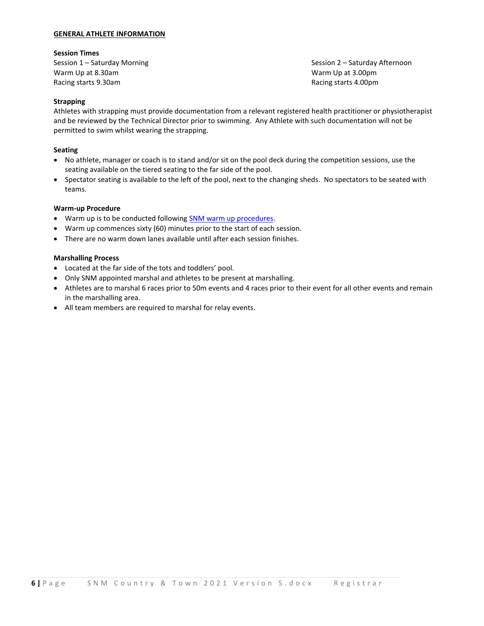#### **GENERAL ATHLETE INFORMATION**

#### **Session Times**

Warm Up at 8.30am November 2012 12:00 November 2012 12:00 November 2012 12:00 November 2013 12:00 November 201 Racing starts 9.30am **Racing starts 4.00pm** Racing starts 4.00pm

Session 1 – Saturday Morning Session 2 – Saturday Afternoon

#### **Strapping**

Athletes with strapping must provide documentation from a relevant registered health practitioner or physiotherapist and be reviewed by the Technical Director prior to swimming. Any Athlete with such documentation will not be permitted to swim whilst wearing the strapping.

#### **Seating**

- No athlete, manager or coach is to stand and/or sit on the pool deck during the competition sessions, use the seating available on the tiered seating to the far side of the pool.
- Spectator seating is available to the left of the pool, next to the changing sheds. No spectators to be seated with teams.

#### **Warm-up Procedure**

- Warm up is to be conducted followin[g SNM warm up procedures.](https://www.snm.org.nz/files/Warmup_Procedures_for_All_Pools_in_NM_-June_2017.pdf)
- Warm up commences sixty (60) minutes prior to the start of each session.
- There are no warm down lanes available until after each session finishes.

#### **Marshalling Process**

- Located at the far side of the tots and toddlers' pool.
- Only SNM appointed marshal and athletes to be present at marshalling.
- Athletes are to marshal 6 races prior to 50m events and 4 races prior to their event for all other events and remain in the marshalling area.
- All team members are required to marshal for relay events.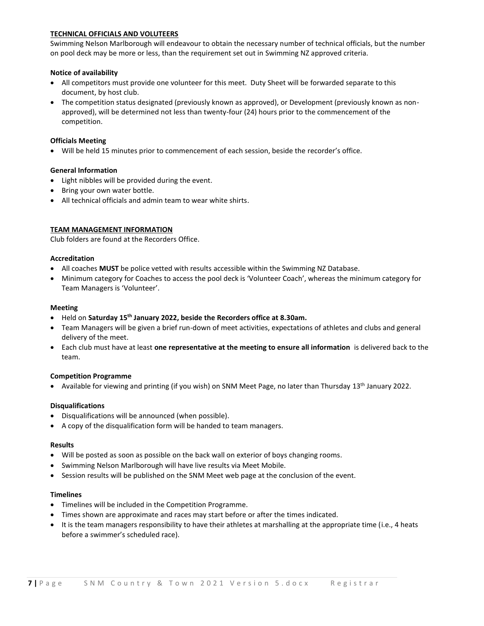#### **TECHNICAL OFFICIALS AND VOLUTEERS**

Swimming Nelson Marlborough will endeavour to obtain the necessary number of technical officials, but the number on pool deck may be more or less, than the requirement set out in Swimming NZ approved criteria.

#### **Notice of availability**

- All competitors must provide one volunteer for this meet. Duty Sheet will be forwarded separate to this document, by host club.
- The competition status designated (previously known as approved), or Development (previously known as nonapproved), will be determined not less than twenty-four (24) hours prior to the commencement of the competition.

#### **Officials Meeting**

• Will be held 15 minutes prior to commencement of each session, beside the recorder's office.

#### **General Information**

- Light nibbles will be provided during the event.
- Bring your own water bottle.
- All technical officials and admin team to wear white shirts.

#### **TEAM MANAGEMENT INFORMATION**

Club folders are found at the Recorders Office.

#### **Accreditation**

- All coaches **MUST** be police vetted with results accessible within the Swimming NZ Database.
- Minimum category for Coaches to access the pool deck is 'Volunteer Coach', whereas the minimum category for Team Managers is 'Volunteer'.

#### **Meeting**

- Held on **Saturday 15th January 2022, beside the Recorders office at 8.30am.**
- Team Managers will be given a brief run-down of meet activities, expectations of athletes and clubs and general delivery of the meet.
- Each club must have at least **one representative at the meeting to ensure all information** is delivered back to the team.

#### **Competition Programme**

• Available for viewing and printing (if you wish) on SNM Meet Page, no later than Thursday 13<sup>th</sup> January 2022.

#### **Disqualifications**

- Disqualifications will be announced (when possible).
- A copy of the disqualification form will be handed to team managers.

#### **Results**

- Will be posted as soon as possible on the back wall on exterior of boys changing rooms.
- Swimming Nelson Marlborough will have live results via Meet Mobile.
- Session results will be published on the SNM Meet web page at the conclusion of the event.

#### **Timelines**

- Timelines will be included in the Competition Programme.
- Times shown are approximate and races may start before or after the times indicated.
- It is the team managers responsibility to have their athletes at marshalling at the appropriate time (i.e., 4 heats before a swimmer's scheduled race).